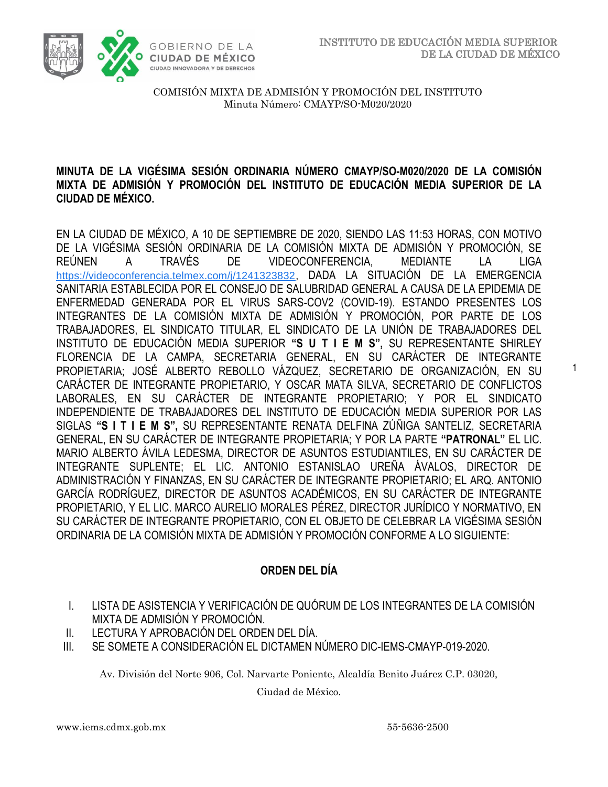1



COMISIÓN MIXTA DE ADMISIÓN Y PROMOCIÓN DEL INSTITUTO Minuta Número: CMAYP/SO-M020/2020

### **MINUTA DE LA VIGÉSIMA SESIÓN ORDINARIA NÚMERO CMAYP/SO-M020/2020 DE LA COMISIÓN MIXTA DE ADMISIÓN Y PROMOCIÓN DEL INSTITUTO DE EDUCACIÓN MEDIA SUPERIOR DE LA CIUDAD DE MÉXICO.**

EN LA CIUDAD DE MÉXICO, A 10 DE SEPTIEMBRE DE 2020, SIENDO LAS 11:53 HORAS, CON MOTIVO DE LA VIGÉSIMA SESIÓN ORDINARIA DE LA COMISIÓN MIXTA DE ADMISIÓN Y PROMOCIÓN, SE REÚNEN A TRAVÉS DE VIDEOCONFERENCIA, MEDIANTE LA LIGA [https://videoconferencia.telmex.com/j/1241323832](https://www.google.com/url?q=https://videoconferencia.telmex.com/j/1241323832&sa=D&source=calendar&ust=1600189097196000&usg=AOvVaw2gYcR4yFxqvmW-sHtQcJBv), DADA LA SITUACIÓN DE LA EMERGENCIA SANITARIA ESTABLECIDA POR EL CONSEJO DE SALUBRIDAD GENERAL A CAUSA DE LA EPIDEMIA DE ENFERMEDAD GENERADA POR EL VIRUS SARS-COV2 (COVID-19). ESTANDO PRESENTES LOS INTEGRANTES DE LA COMISIÓN MIXTA DE ADMISIÓN Y PROMOCIÓN, POR PARTE DE LOS TRABAJADORES, EL SINDICATO TITULAR, EL SINDICATO DE LA UNIÓN DE TRABAJADORES DEL INSTITUTO DE EDUCACIÓN MEDIA SUPERIOR **"S U T I E M S",** SU REPRESENTANTE SHIRLEY FLORENCIA DE LA CAMPA, SECRETARIA GENERAL, EN SU CARÁCTER DE INTEGRANTE PROPIETARIA; JOSÉ ALBERTO REBOLLO VÁZQUEZ, SECRETARIO DE ORGANIZACIÓN, EN SU CARÁCTER DE INTEGRANTE PROPIETARIO, Y OSCAR MATA SILVA, SECRETARIO DE CONFLICTOS LABORALES, EN SU CARÁCTER DE INTEGRANTE PROPIETARIO; Y POR EL SINDICATO INDEPENDIENTE DE TRABAJADORES DEL INSTITUTO DE EDUCACIÓN MEDIA SUPERIOR POR LAS SIGLAS **"S I T I E M S",** SU REPRESENTANTE RENATA DELFINA ZÚÑIGA SANTELIZ, SECRETARIA GENERAL, EN SU CARÁCTER DE INTEGRANTE PROPIETARIA; Y POR LA PARTE **"PATRONAL"** EL LIC. MARIO ALBERTO ÁVILA LEDESMA, DIRECTOR DE ASUNTOS ESTUDIANTILES, EN SU CARÁCTER DE INTEGRANTE SUPLENTE; EL LIC. ANTONIO ESTANISLAO UREÑA ÁVALOS, DIRECTOR DE ADMINISTRACIÓN Y FINANZAS, EN SU CARÁCTER DE INTEGRANTE PROPIETARIO; EL ARQ. ANTONIO GARCÍA RODRÍGUEZ, DIRECTOR DE ASUNTOS ACADÉMICOS, EN SU CARÁCTER DE INTEGRANTE PROPIETARIO, Y EL LIC. MARCO AURELIO MORALES PÉREZ, DIRECTOR JURÍDICO Y NORMATIVO, EN SU CARÁCTER DE INTEGRANTE PROPIETARIO, CON EL OBJETO DE CELEBRAR LA VIGÉSIMA SESIÓN ORDINARIA DE LA COMISIÓN MIXTA DE ADMISIÓN Y PROMOCIÓN CONFORME A LO SIGUIENTE:

# **ORDEN DEL DÍA**

- I. LISTA DE ASISTENCIA Y VERIFICACIÓN DE QUÓRUM DE LOS INTEGRANTES DE LA COMISIÓN MIXTA DE ADMISIÓN Y PROMOCIÓN.
- II. LECTURA Y APROBACIÓN DEL ORDEN DEL DÍA.
- III. SE SOMETE A CONSIDERACIÓN EL DICTAMEN NÚMERO DIC-IEMS-CMAYP-019-2020.

Av. División del Norte 906, Col. Narvarte Poniente, Alcaldía Benito Juárez C.P. 03020,

Ciudad de México.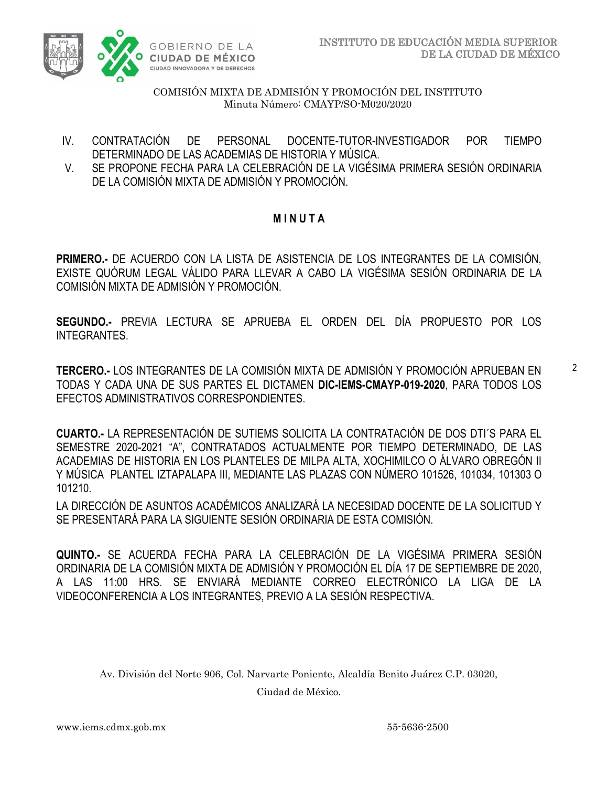

- IV. CONTRATACIÓN DE PERSONAL DOCENTE-TUTOR-INVESTIGADOR POR TIEMPO DETERMINADO DE LAS ACADEMIAS DE HISTORIA Y MÚSICA.
- V. SE PROPONE FECHA PARA LA CELEBRACIÓN DE LA VIGÉSIMA PRIMERA SESIÓN ORDINARIA DE LA COMISIÓN MIXTA DE ADMISIÓN Y PROMOCIÓN.

## **M I N U T A**

**PRIMERO.-** DE ACUERDO CON LA LISTA DE ASISTENCIA DE LOS INTEGRANTES DE LA COMISIÓN, EXISTE QUÓRUM LEGAL VÁLIDO PARA LLEVAR A CABO LA VIGÉSIMA SESIÓN ORDINARIA DE LA COMISIÓN MIXTA DE ADMISIÓN Y PROMOCIÓN.

**SEGUNDO.-** PREVIA LECTURA SE APRUEBA EL ORDEN DEL DÍA PROPUESTO POR LOS INTEGRANTES.

**TERCERO.-** LOS INTEGRANTES DE LA COMISIÓN MIXTA DE ADMISIÓN Y PROMOCIÓN APRUEBAN EN TODAS Y CADA UNA DE SUS PARTES EL DICTAMEN **DIC-IEMS-CMAYP-019-2020**, PARA TODOS LOS EFECTOS ADMINISTRATIVOS CORRESPONDIENTES.

**CUARTO.-** LA REPRESENTACIÓN DE SUTIEMS SOLICITA LA CONTRATACIÓN DE DOS DTI´S PARA EL SEMESTRE 2020-2021 "A", CONTRATADOS ACTUALMENTE POR TIEMPO DETERMINADO, DE LAS ACADEMIAS DE HISTORIA EN LOS PLANTELES DE MILPA ALTA, XOCHIMILCO O ÁLVARO OBREGÓN II Y MÚSICA PLANTEL IZTAPALAPA III, MEDIANTE LAS PLAZAS CON NÚMERO 101526, 101034, 101303 O 101210.

LA DIRECCIÓN DE ASUNTOS ACADÉMICOS ANALIZARÁ LA NECESIDAD DOCENTE DE LA SOLICITUD Y SE PRESENTARÁ PARA LA SIGUIENTE SESIÓN ORDINARIA DE ESTA COMISIÓN.

**QUINTO.-** SE ACUERDA FECHA PARA LA CELEBRACIÓN DE LA VIGÉSIMA PRIMERA SESIÓN ORDINARIA DE LA COMISIÓN MIXTA DE ADMISIÓN Y PROMOCIÓN EL DÍA 17 DE SEPTIEMBRE DE 2020, A LAS 11:00 HRS. SE ENVIARÁ MEDIANTE CORREO ELECTRÓNICO LA LIGA DE LA VIDEOCONFERENCIA A LOS INTEGRANTES, PREVIO A LA SESIÓN RESPECTIVA.

Av. División del Norte 906, Col. Narvarte Poniente, Alcaldía Benito Juárez C.P. 03020,

Ciudad de México.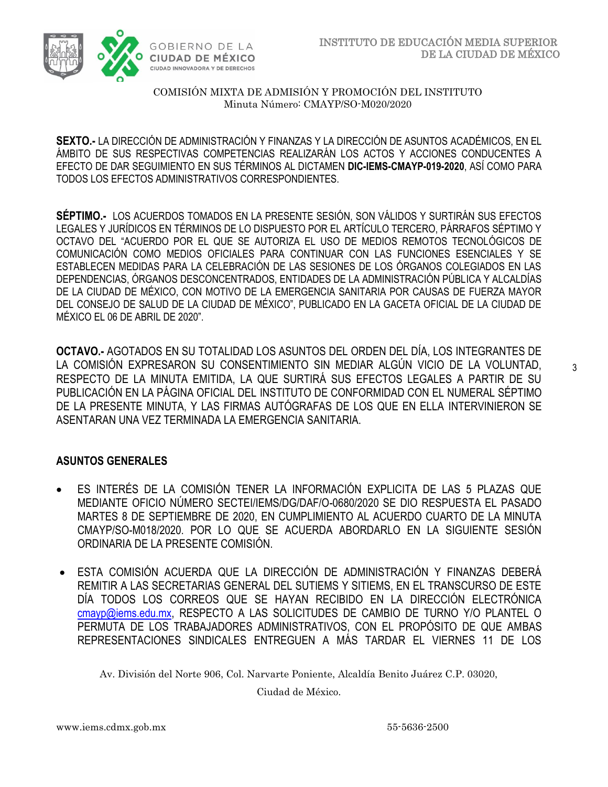

**SEXTO.-** LA DIRECCIÓN DE ADMINISTRACIÓN Y FINANZAS Y LA DIRECCIÓN DE ASUNTOS ACADÉMICOS, EN EL ÁMBITO DE SUS RESPECTIVAS COMPETENCIAS REALIZARÁN LOS ACTOS Y ACCIONES CONDUCENTES A EFECTO DE DAR SEGUIMIENTO EN SUS TÉRMINOS AL DICTAMEN **DIC-IEMS-CMAYP-019-2020**, ASÍ COMO PARA TODOS LOS EFECTOS ADMINISTRATIVOS CORRESPONDIENTES.

**SÉPTIMO.-** LOS ACUERDOS TOMADOS EN LA PRESENTE SESIÓN, SON VÁLIDOS Y SURTIRÁN SUS EFECTOS LEGALES Y JURÍDICOS EN TÉRMINOS DE LO DISPUESTO POR EL ARTÍCULO TERCERO, PÁRRAFOS SÉPTIMO Y OCTAVO DEL "ACUERDO POR EL QUE SE AUTORIZA EL USO DE MEDIOS REMOTOS TECNOLÓGICOS DE COMUNICACIÓN COMO MEDIOS OFICIALES PARA CONTINUAR CON LAS FUNCIONES ESENCIALES Y SE ESTABLECEN MEDIDAS PARA LA CELEBRACIÓN DE LAS SESIONES DE LOS ÓRGANOS COLEGIADOS EN LAS DEPENDENCIAS, ÓRGANOS DESCONCENTRADOS, ENTIDADES DE LA ADMINISTRACIÓN PÚBLICA Y ALCALDÍAS DE LA CIUDAD DE MÉXICO, CON MOTIVO DE LA EMERGENCIA SANITARIA POR CAUSAS DE FUERZA MAYOR DEL CONSEJO DE SALUD DE LA CIUDAD DE MÉXICO", PUBLICADO EN LA GACETA OFICIAL DE LA CIUDAD DE MÉXICO EL 06 DE ABRIL DE 2020".

**OCTAVO.-** AGOTADOS EN SU TOTALIDAD LOS ASUNTOS DEL ORDEN DEL DÍA, LOS INTEGRANTES DE LA COMISIÓN EXPRESARON SU CONSENTIMIENTO SIN MEDIAR ALGÚN VICIO DE LA VOLUNTAD, RESPECTO DE LA MINUTA EMITIDA, LA QUE SURTIRÁ SUS EFECTOS LEGALES A PARTIR DE SU PUBLICACIÓN EN LA PÁGINA OFICIAL DEL INSTITUTO DE CONFORMIDAD CON EL NUMERAL SÉPTIMO DE LA PRESENTE MINUTA, Y LAS FIRMAS AUTÓGRAFAS DE LOS QUE EN ELLA INTERVINIERON SE ASENTARAN UNA VEZ TERMINADA LA EMERGENCIA SANITARIA.

### **ASUNTOS GENERALES**

- ES INTERÉS DE LA COMISIÓN TENER LA INFORMACIÓN EXPLICITA DE LAS 5 PLAZAS QUE MEDIANTE OFICIO NÚMERO SECTEI/IEMS/DG/DAF/O-0680/2020 SE DIO RESPUESTA EL PASADO MARTES 8 DE SEPTIEMBRE DE 2020, EN CUMPLIMIENTO AL ACUERDO CUARTO DE LA MINUTA CMAYP/SO-M018/2020. POR LO QUE SE ACUERDA ABORDARLO EN LA SIGUIENTE SESIÓN ORDINARIA DE LA PRESENTE COMISIÓN.
- ESTA COMISIÓN ACUERDA QUE LA DIRECCIÓN DE ADMINISTRACIÓN Y FINANZAS DEBERÁ REMITIR A LAS SECRETARIAS GENERAL DEL SUTIEMS Y SITIEMS, EN EL TRANSCURSO DE ESTE DÍA TODOS LOS CORREOS QUE SE HAYAN RECIBIDO EN LA DIRECCIÓN ELECTRÓNICA [cmayp@iems.edu.mx,](mailto:cmayp@iems.edu.mx) RESPECTO A LAS SOLICITUDES DE CAMBIO DE TURNO Y/O PLANTEL O PERMUTA DE LOS TRABAJADORES ADMINISTRATIVOS, CON EL PROPÓSITO DE QUE AMBAS REPRESENTACIONES SINDICALES ENTREGUEN A MÁS TARDAR EL VIERNES 11 DE LOS

Av. División del Norte 906, Col. Narvarte Poniente, Alcaldía Benito Juárez C.P. 03020,

Ciudad de México.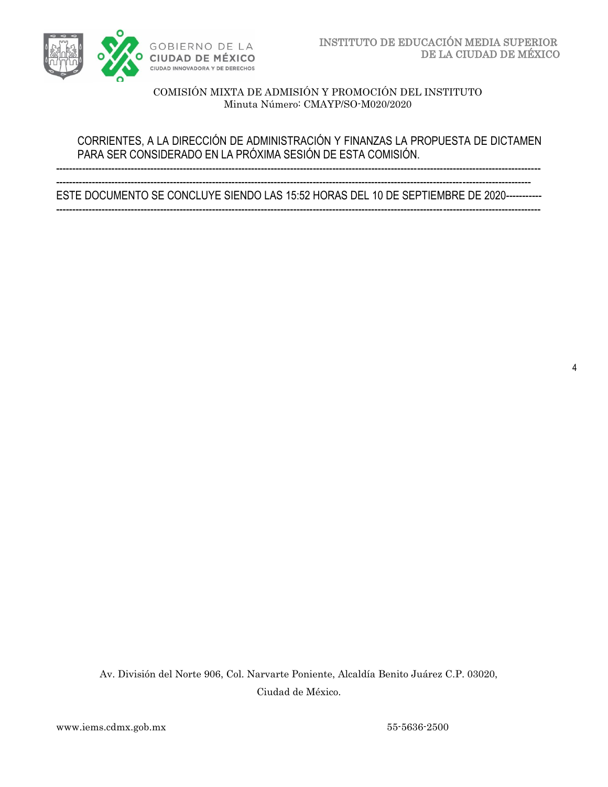

### CORRIENTES, A LA DIRECCIÓN DE ADMINISTRACIÓN Y FINANZAS LA PROPUESTA DE DICTAMEN PARA SER CONSIDERADO EN LA PRÓXIMA SESIÓN DE ESTA COMISIÓN.

-----------------------------------------------------------------------------------------------------------------------------------------------------

-------------------------------------------------------------------------------------------------------------------------------------------------- ESTE DOCUMENTO SE CONCLUYE SIENDO LAS 15:52 HORAS DEL 10 DE SEPTIEMBRE DE 2020----------- -----------------------------------------------------------------------------------------------------------------------------------------------------

Av. División del Norte 906, Col. Narvarte Poniente, Alcaldía Benito Juárez C.P. 03020, Ciudad de México.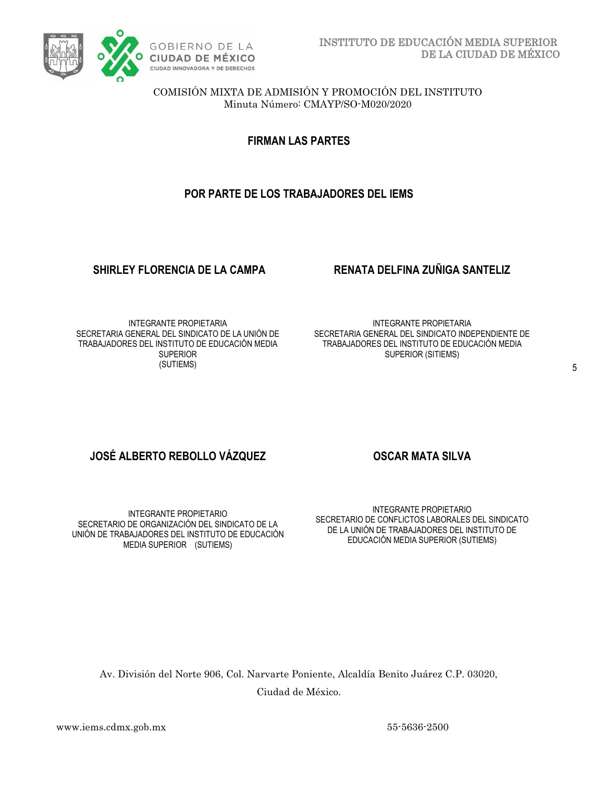

**FIRMAN LAS PARTES**

# **POR PARTE DE LOS TRABAJADORES DEL IEMS**

### **SHIRLEY FLORENCIA DE LA CAMPA RENATA DELFINA ZUÑIGA SANTELIZ**

INTEGRANTE PROPIETARIA SECRETARIA GENERAL DEL SINDICATO DE LA UNIÓN DE TRABAJADORES DEL INSTITUTO DE EDUCACIÓN MEDIA **SUPERIOR** (SUTIEMS)

INTEGRANTE PROPIETARIA SECRETARIA GENERAL DEL SINDICATO INDEPENDIENTE DE TRABAJADORES DEL INSTITUTO DE EDUCACIÓN MEDIA SUPERIOR (SITIEMS)

## **JOSÉ ALBERTO REBOLLO VÁZQUEZ CONSEGAR MATA SILVA**

INTEGRANTE PROPIETARIO SECRETARIO DE ORGANIZACIÓN DEL SINDICATO DE LA UNIÓN DE TRABAJADORES DEL INSTITUTO DE EDUCACIÓN MEDIA SUPERIOR (SUTIEMS)

INTEGRANTE PROPIETARIO SECRETARIO DE CONFLICTOS LABORALES DEL SINDICATO DE LA UNIÓN DE TRABAJADORES DEL INSTITUTO DE EDUCACIÓN MEDIA SUPERIOR (SUTIEMS)

Av. División del Norte 906, Col. Narvarte Poniente, Alcaldía Benito Juárez C.P. 03020, Ciudad de México.